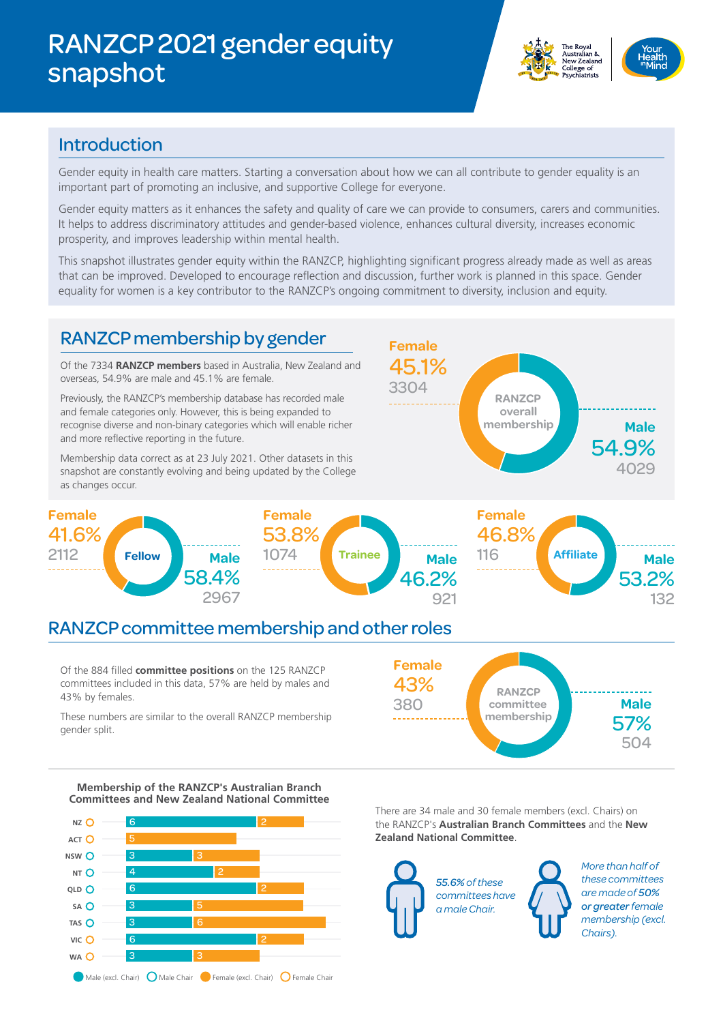# RANZCP 2021 gender equity snapshot





#### Introduction

Gender equity in health care matters. Starting a conversation about how we can all contribute to gender equality is an important part of promoting an inclusive, and supportive College for everyone.

Gender equity matters as it enhances the safety and quality of care we can provide to consumers, carers and communities. It helps to address discriminatory attitudes and gender-based violence, enhances cultural diversity, increases economic prosperity, and improves leadership within mental health.

This snapshot illustrates gender equity within the RANZCP, highlighting significant progress already made as well as areas that can be improved. Developed to encourage reflection and discussion, further work is planned in this space. Gender equality for women is a key contributor to the RANZCP's ongoing commitment to diversity, inclusion and equity.



**Membership of the RANZCP's Australian Branch Committees and New Zealand National Committee**



There are 34 male and 30 female members (excl. Chairs) on the RANZCP's **Australian Branch Committees** and the **New Zealand National Committee**.



*More than half of these committees are made of 50% or greater female membership (excl. Chairs).*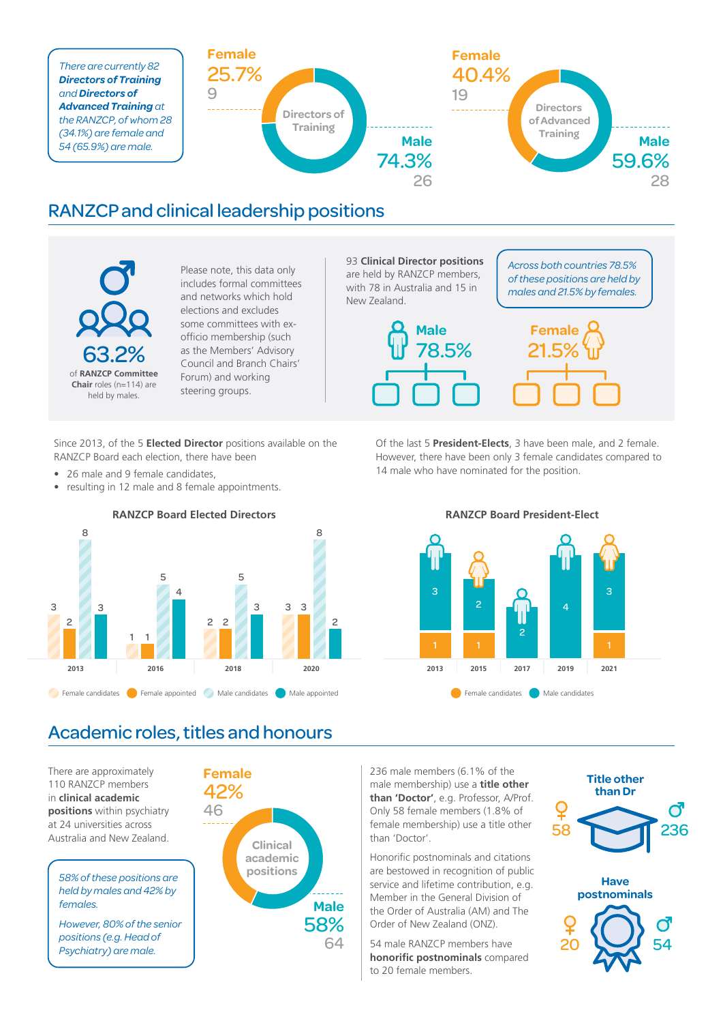

### RANZCP and clinical leadership positions

63.2% of **RANZCP Committee Chair** roles (n=114) are held by males.

Please note, this data only includes formal committees and networks which hold elections and excludes some committees with exofficio membership (such as the Members' Advisory Council and Branch Chairs' Forum) and working steering groups.

Since 2013, of the 5 **Elected Director** positions available on the RANZCP Board each election, there have been

- 26 male and 9 female candidates,
- resulting in 12 male and 8 female appointments.



93 **Clinical Director positions** are held by RANZCP members, with 78 in Australia and 15 in New Zealand.

*Across both countries 78.5% of these positions are held by males and 21.5% by females.*



Of the last 5 **President-Elects**, 3 have been male, and 2 female. However, there have been only 3 female candidates compared to 14 male who have nominated for the position.



### Academic roles, titles and honours

There are approximately 110 RANZCP members in **clinical academic positions** within psychiatry at 24 universities across Australia and New Zealand.

*58% of these positions are held by males and 42% by females.*

*However, 80% of the senior positions (e.g. Head of Psychiatry) are male.*

![](_page_1_Figure_17.jpeg)

236 male members (6.1% of the male membership) use a **title other than 'Doctor'**, e.g. Professor, A/Prof. Only 58 female members (1.8% of female membership) use a title other than 'Doctor'.

Honorific postnominals and citations are bestowed in recognition of public service and lifetime contribution, e.g. Member in the General Division of the Order of Australia (AM) and The Order of New Zealand (ONZ).

54 male RANZCP members have **honorific postnominals** compared to 20 female members.

![](_page_1_Figure_21.jpeg)

![](_page_1_Picture_22.jpeg)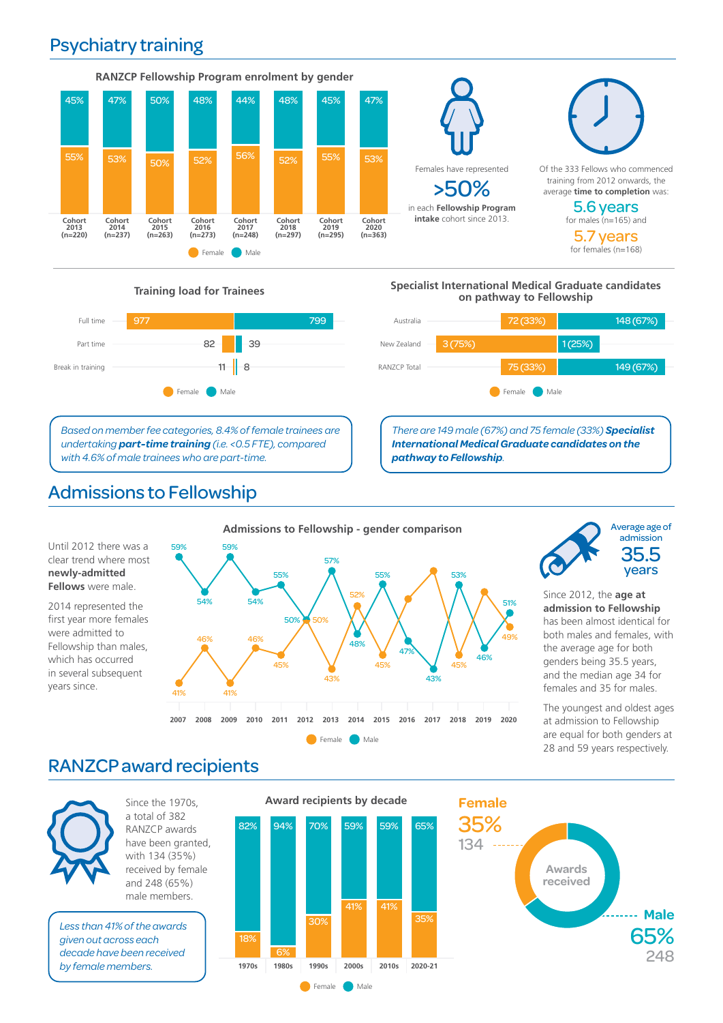## Psychiatry training

![](_page_2_Figure_1.jpeg)

Females have represented >50% in each **Fellowship Program intake** cohort since 2013.

![](_page_2_Figure_3.jpeg)

for males (n=165) and 5.7 years for females (n=168)

![](_page_2_Figure_6.jpeg)

*Based on member fee categories, 8.4% of female trainees are undertaking part-time training (i.e. <0.5 FTE), compared with 4.6% of male trainees who are part-time.*

# Admissions to Fellowship

#### **Training load for Trainees Specialist International Medical Graduate candidates on pathway to Fellowship**

![](_page_2_Figure_10.jpeg)

*There are 149 male (67%) and 75 female (33%) Specialist International Medical Graduate candidates on the pathway to Fellowship.*

51%

![](_page_2_Figure_12.jpeg)

![](_page_2_Figure_13.jpeg)

Since 2012, the **age at admission to Fellowship** has been almost identical for both males and females, with the average age for both genders being 35.5 years, and the median age 34 for females and 35 for males.

The youngest and oldest ages at admission to Fellowship are equal for both genders at 28 and 59 years respectively.

### RANZCP award recipients

![](_page_2_Picture_17.jpeg)

years since.

Since the 1970s, a total of 382 RANZCP awards have been granted, with 134 (35%) received by female and 248 (65%) male members.

*Less than 41% of the awards given out across each decade have been received by female members.*

![](_page_2_Figure_20.jpeg)

![](_page_2_Figure_21.jpeg)